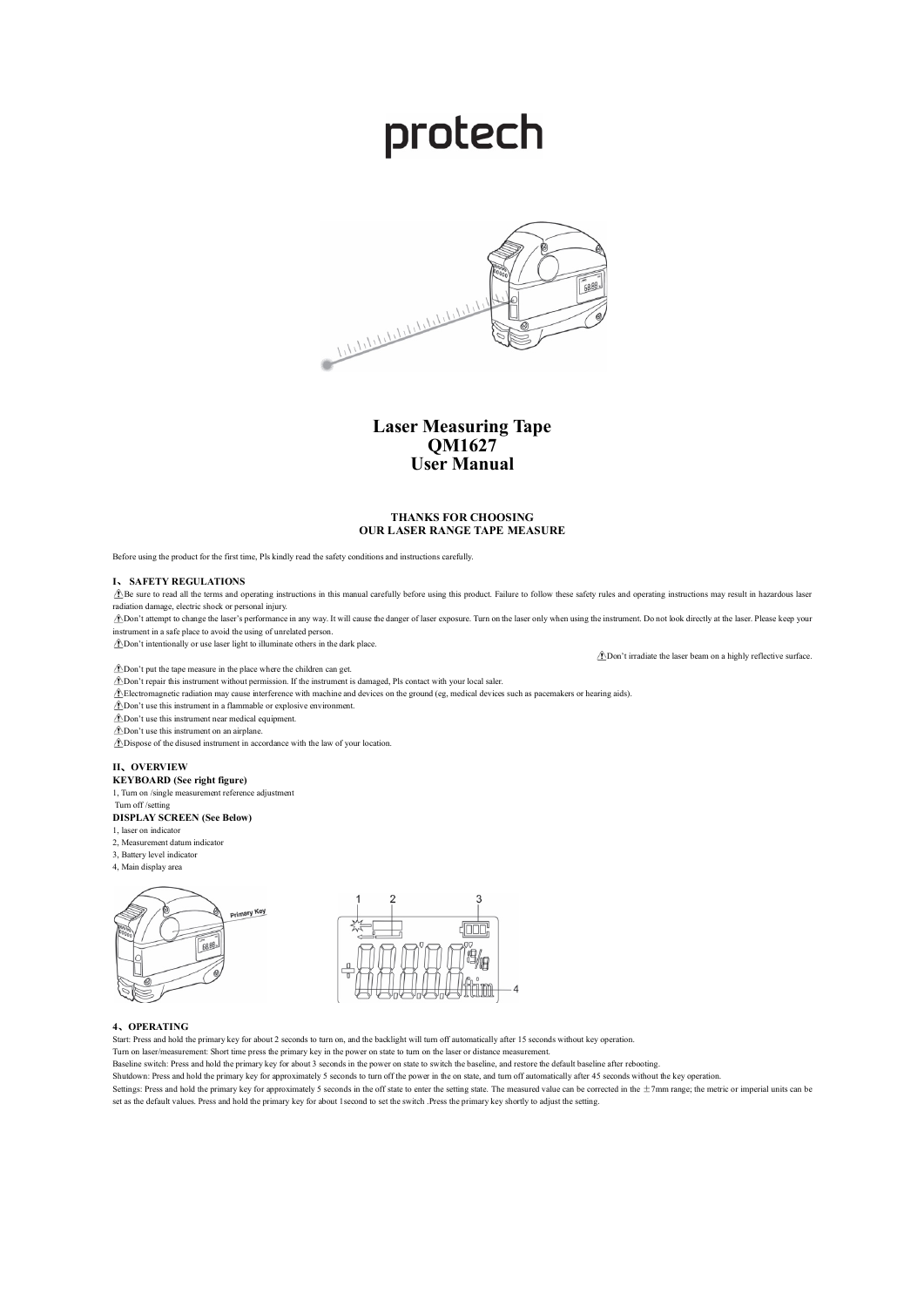# protech



# **Laser Measuring Tape QM1627 User Manual**

## **THANKS FOR CHOOSING OUR LASER RANGE TAPE MEASURE**

Before using the product for the first time, Pls kindly read the safety conditions and instructions carefully.

#### **I**、 **SAFETY REGULATIONS**

 $\hat{B}$  Be sure to read all the terms and operating instructions in this manual carefully before using this product. Failure to follow these safety rules and operating instructions may result in hazardous laser radiation damage, electric shock or personal injury.

 $\triangle$ Don't attempt to change the laser's performance in any way. It will cause the danger of laser exposure. Turn on the laser only when using the instrument. Do not look directly at the laser. Please keep your instrument in a safe place to avoid the using of unrelated person.

Don't intentionally or use laser light to illuminate others in the dark place.

Don't irradiate the laser beam on a highly reflective surface.

 $\triangle$ Don't put the tape measure in the place where the children can get.

Don't repair this instrument without permission. If the instrument is damaged, Pls contact with your local saler.

Electromagnetic radiation may cause interference with machine and devices on the ground (eg, medical devices such as pacemakers or hearing aids).

Don't use this instrument in a flammable or explosive environment.

Don't use this instrument near medical equipment.

Don't use this instrument on an airplane.

 $\triangle$ Dispose of the disused instrument in accordance with the law of your location.

#### **II**、**OVERVIEW**

**KEYBOARD (See right figure)**

1, Turn on /single measurement reference adjustment Turn off /setting

#### **DISPLAY SCREEN (See Below)**

1, laser on indicator

- 2. Measurement datum indicator
- 3, Battery level indicator
- 4, Main display area





## **4**、**OPERATING**

Start: Press and hold the primary key for about 2 seconds to turn on, and the backlight will turn off automatically after 15 seconds without key operation.

Turn on laser/measurement: Short time press the primary key in the power on state to turn on the laser or distance measurement.

Baseline switch: Press and hold the primary key for about 3 seconds in the power on state to switch the baseline, and restore the default baseline after rebooting.

Shutdown: Press and hold the primary key for approximately 5 seconds to turn off the power in the on state, and turn off automatically after 45 seconds without the key operation.

Settings: Press and hold the primary key for approximately 5 seconds in the off state to enter the setting state. The measured value can be corrected in the  $\pm$ 7mm range; the metric or imperial units can be set as the default values. Press and hold the primary key for about 1second to set the switch .Press the primary key shortly to adjust the setting.